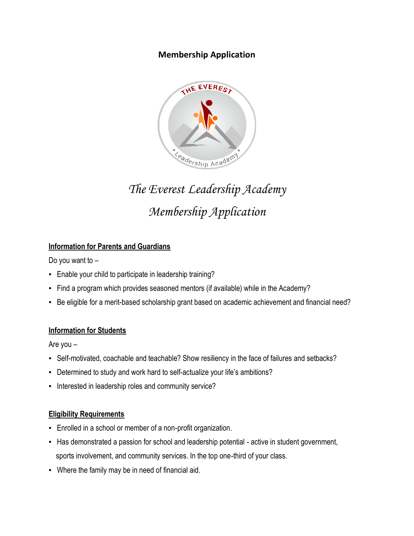## **Membership Application**



# *The Everest Leadership Academy Membership Application*

## **Information for Parents and Guardians**

Do you want to –

- Enable your child to participate in leadership training?
- Find a program which provides seasoned mentors (if available) while in the Academy?
- Be eligible for a merit-based scholarship grant based on academic achievement and financial need?

## **Information for Students**

Are you –

- Self-motivated, coachable and teachable? Show resiliency in the face of failures and setbacks?
- Determined to study and work hard to self-actualize your life's ambitions?
- **Interested in leadership roles and community service?**

#### **Eligibility Requirements**

- **Enrolled in a school or member of a non-profit organization.**
- **EXTER 15 Has demonstrated a passion for school and leadership potential active in student government,** sports involvement, and community services. In the top one-third of your class.
- **Where the family may be in need of financial aid.**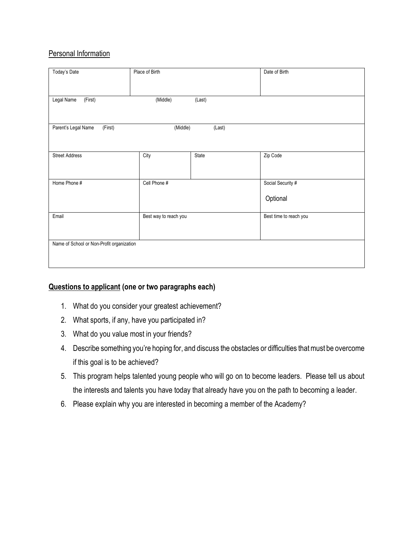## **Personal Information**

| Today's Date                                         | Place of Birth        |        | Date of Birth                 |  |
|------------------------------------------------------|-----------------------|--------|-------------------------------|--|
| (First)<br>Legal Name                                | (Middle)              | (Last) |                               |  |
| Parent's Legal Name<br>(First)<br>(Middle)<br>(Last) |                       |        |                               |  |
| <b>Street Address</b>                                | City                  | State  | Zip Code                      |  |
| Home Phone #                                         | Cell Phone #          |        | Social Security #<br>Optional |  |
| Email                                                | Best way to reach you |        | Best time to reach you        |  |
| Name of School or Non-Profit organization            |                       |        |                               |  |

## **Questions to applicant (one or two paragraphs each)**

- 1. What do you consider your greatest achievement?
- 2. What sports, if any, have you participated in?
- 3. What do you value most in your friends?
- 4. Describe something you're hoping for, and discuss the obstacles or difficulties that must be overcome if this goal is to be achieved?
- 5. This program helps talented young people who will go on to become leaders. Please tell us about the interests and talents you have today that already have you on the path to becoming a leader.
- 6. Please explain why you are interested in becoming a member of the Academy?